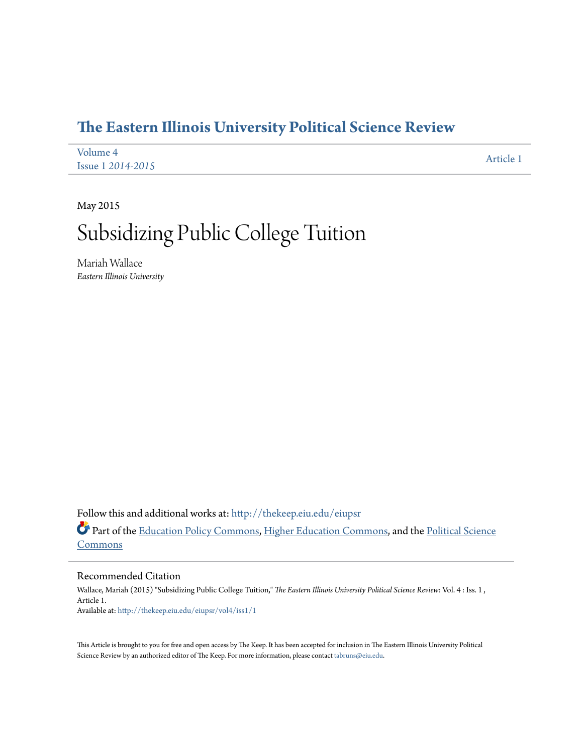## **[The Eastern Illinois University Political Science Review](http://thekeep.eiu.edu/eiupsr?utm_source=thekeep.eiu.edu%2Feiupsr%2Fvol4%2Fiss1%2F1&utm_medium=PDF&utm_campaign=PDFCoverPages)**

| Volume 4                 | Article 1 |
|--------------------------|-----------|
| <b>Issue 1 2014-2015</b> |           |

May 2015

# Subsidizing Public College Tuition

Mariah Wallace *Eastern Illinois University*

Follow this and additional works at: [http://thekeep.eiu.edu/eiupsr](http://thekeep.eiu.edu/eiupsr?utm_source=thekeep.eiu.edu%2Feiupsr%2Fvol4%2Fiss1%2F1&utm_medium=PDF&utm_campaign=PDFCoverPages)

Part of the [Education Policy Commons](http://network.bepress.com/hgg/discipline/1026?utm_source=thekeep.eiu.edu%2Feiupsr%2Fvol4%2Fiss1%2F1&utm_medium=PDF&utm_campaign=PDFCoverPages), [Higher Education Commons](http://network.bepress.com/hgg/discipline/1245?utm_source=thekeep.eiu.edu%2Feiupsr%2Fvol4%2Fiss1%2F1&utm_medium=PDF&utm_campaign=PDFCoverPages), and the [Political Science](http://network.bepress.com/hgg/discipline/386?utm_source=thekeep.eiu.edu%2Feiupsr%2Fvol4%2Fiss1%2F1&utm_medium=PDF&utm_campaign=PDFCoverPages) **[Commons](http://network.bepress.com/hgg/discipline/386?utm_source=thekeep.eiu.edu%2Feiupsr%2Fvol4%2Fiss1%2F1&utm_medium=PDF&utm_campaign=PDFCoverPages)** 

Recommended Citation

Wallace, Mariah (2015) "Subsidizing Public College Tuition," *The Eastern Illinois University Political Science Review*: Vol. 4 : Iss. 1 , Article 1. Available at: [http://thekeep.eiu.edu/eiupsr/vol4/iss1/1](http://thekeep.eiu.edu/eiupsr/vol4/iss1/1?utm_source=thekeep.eiu.edu%2Feiupsr%2Fvol4%2Fiss1%2F1&utm_medium=PDF&utm_campaign=PDFCoverPages)

This Article is brought to you for free and open access by The Keep. It has been accepted for inclusion in The Eastern Illinois University Political Science Review by an authorized editor of The Keep. For more information, please contact [tabruns@eiu.edu](mailto:tabruns@eiu.edu).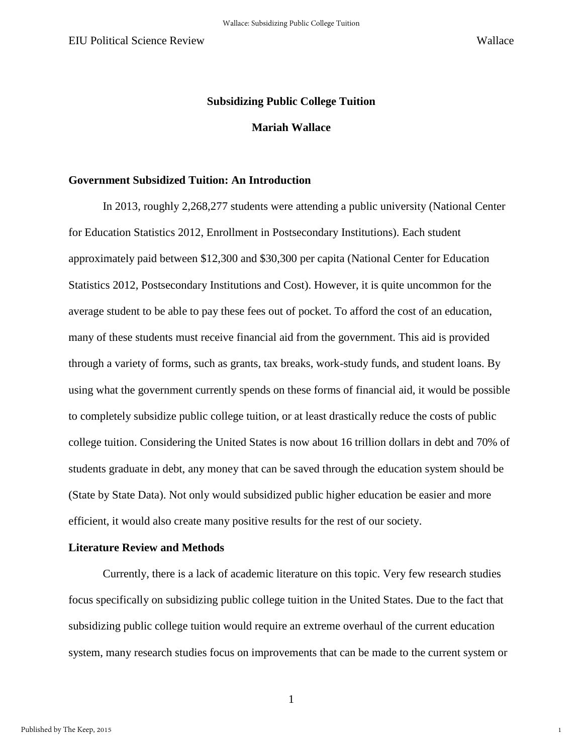1

### **Subsidizing Public College Tuition**

#### **Mariah Wallace**

### **Government Subsidized Tuition: An Introduction**

In 2013, roughly 2,268,277 students were attending a public university (National Center for Education Statistics 2012, Enrollment in Postsecondary Institutions). Each student approximately paid between \$12,300 and \$30,300 per capita (National Center for Education Statistics 2012, Postsecondary Institutions and Cost). However, it is quite uncommon for the average student to be able to pay these fees out of pocket. To afford the cost of an education, many of these students must receive financial aid from the government. This aid is provided through a variety of forms, such as grants, tax breaks, work-study funds, and student loans. By using what the government currently spends on these forms of financial aid, it would be possible to completely subsidize public college tuition, or at least drastically reduce the costs of public college tuition. Considering the United States is now about 16 trillion dollars in debt and 70% of students graduate in debt, any money that can be saved through the education system should be (State by State Data). Not only would subsidized public higher education be easier and more efficient, it would also create many positive results for the rest of our society.

#### **Literature Review and Methods**

Currently, there is a lack of academic literature on this topic. Very few research studies focus specifically on subsidizing public college tuition in the United States. Due to the fact that subsidizing public college tuition would require an extreme overhaul of the current education system, many research studies focus on improvements that can be made to the current system or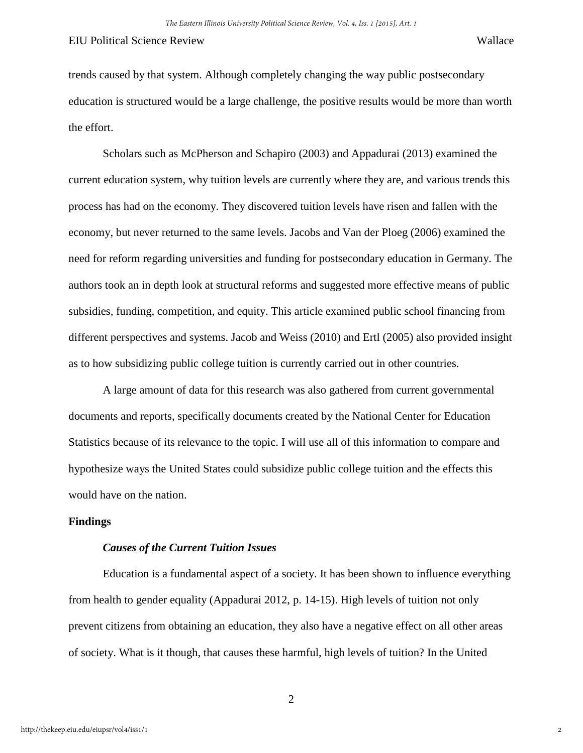trends caused by that system. Although completely changing the way public postsecondary education is structured would be a large challenge, the positive results would be more than worth the effort.

Scholars such as McPherson and Schapiro (2003) and Appadurai (2013) examined the current education system, why tuition levels are currently where they are, and various trends this process has had on the economy. They discovered tuition levels have risen and fallen with the economy, but never returned to the same levels. Jacobs and Van der Ploeg (2006) examined the need for reform regarding universities and funding for postsecondary education in Germany. The authors took an in depth look at structural reforms and suggested more effective means of public subsidies, funding, competition, and equity. This article examined public school financing from different perspectives and systems. Jacob and Weiss (2010) and Ertl (2005) also provided insight as to how subsidizing public college tuition is currently carried out in other countries.

A large amount of data for this research was also gathered from current governmental documents and reports, specifically documents created by the National Center for Education Statistics because of its relevance to the topic. I will use all of this information to compare and hypothesize ways the United States could subsidize public college tuition and the effects this would have on the nation.

#### **Findings**

#### *Causes of the Current Tuition Issues*

Education is a fundamental aspect of a society. It has been shown to influence everything from health to gender equality (Appadurai 2012, p. 14-15). High levels of tuition not only prevent citizens from obtaining an education, they also have a negative effect on all other areas of society. What is it though, that causes these harmful, high levels of tuition? In the United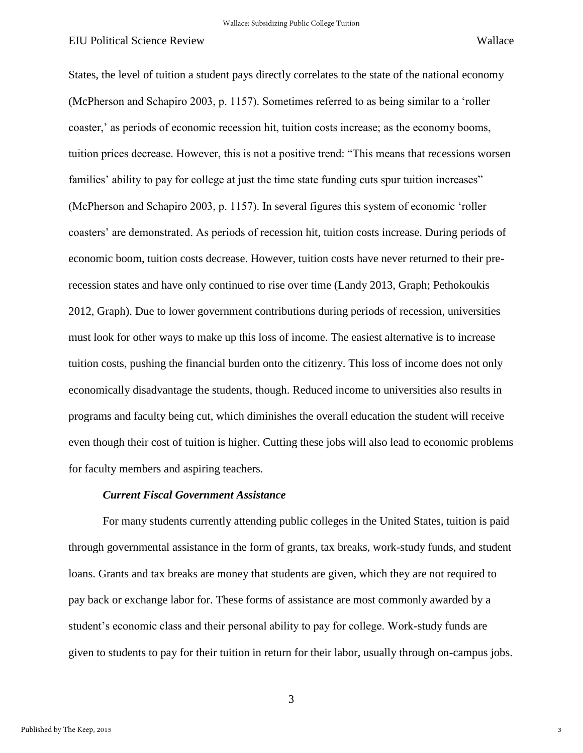States, the level of tuition a student pays directly correlates to the state of the national economy (McPherson and Schapiro 2003, p. 1157). Sometimes referred to as being similar to a 'roller coaster,' as periods of economic recession hit, tuition costs increase; as the economy booms, tuition prices decrease. However, this is not a positive trend: "This means that recessions worsen families' ability to pay for college at just the time state funding cuts spur tuition increases" (McPherson and Schapiro 2003, p. 1157). In several figures this system of economic 'roller coasters' are demonstrated. As periods of recession hit, tuition costs increase. During periods of economic boom, tuition costs decrease. However, tuition costs have never returned to their prerecession states and have only continued to rise over time (Landy 2013, Graph; Pethokoukis 2012, Graph). Due to lower government contributions during periods of recession, universities must look for other ways to make up this loss of income. The easiest alternative is to increase tuition costs, pushing the financial burden onto the citizenry. This loss of income does not only economically disadvantage the students, though. Reduced income to universities also results in programs and faculty being cut, which diminishes the overall education the student will receive even though their cost of tuition is higher. Cutting these jobs will also lead to economic problems for faculty members and aspiring teachers.

#### *Current Fiscal Government Assistance*

For many students currently attending public colleges in the United States, tuition is paid through governmental assistance in the form of grants, tax breaks, work-study funds, and student loans. Grants and tax breaks are money that students are given, which they are not required to pay back or exchange labor for. These forms of assistance are most commonly awarded by a student's economic class and their personal ability to pay for college. Work-study funds are given to students to pay for their tuition in return for their labor, usually through on-campus jobs.

3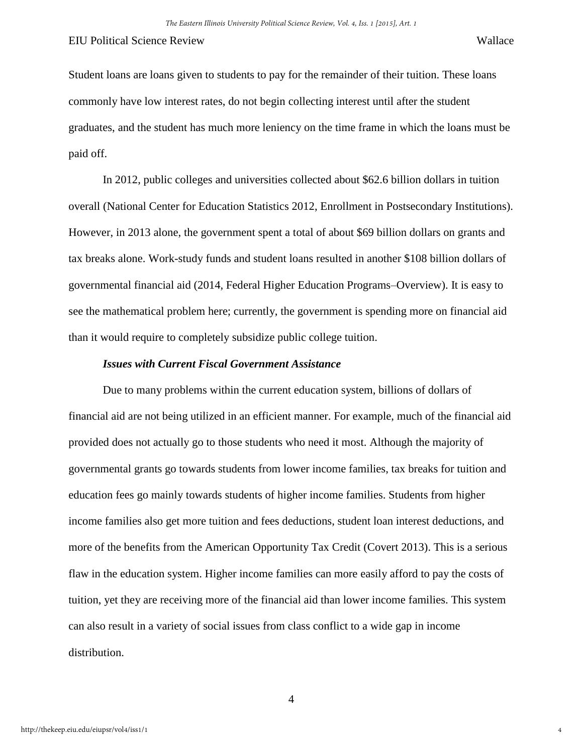Student loans are loans given to students to pay for the remainder of their tuition. These loans commonly have low interest rates, do not begin collecting interest until after the student graduates, and the student has much more leniency on the time frame in which the loans must be paid off.

In 2012, public colleges and universities collected about \$62.6 billion dollars in tuition overall (National Center for Education Statistics 2012, Enrollment in Postsecondary Institutions). However, in 2013 alone, the government spent a total of about \$69 billion dollars on grants and tax breaks alone. Work-study funds and student loans resulted in another \$108 billion dollars of governmental financial aid (2014, Federal Higher Education Programs–Overview). It is easy to see the mathematical problem here; currently, the government is spending more on financial aid than it would require to completely subsidize public college tuition.

#### *Issues with Current Fiscal Government Assistance*

Due to many problems within the current education system, billions of dollars of financial aid are not being utilized in an efficient manner. For example, much of the financial aid provided does not actually go to those students who need it most. Although the majority of governmental grants go towards students from lower income families, tax breaks for tuition and education fees go mainly towards students of higher income families. Students from higher income families also get more tuition and fees deductions, student loan interest deductions, and more of the benefits from the American Opportunity Tax Credit (Covert 2013). This is a serious flaw in the education system. Higher income families can more easily afford to pay the costs of tuition, yet they are receiving more of the financial aid than lower income families. This system can also result in a variety of social issues from class conflict to a wide gap in income distribution.

4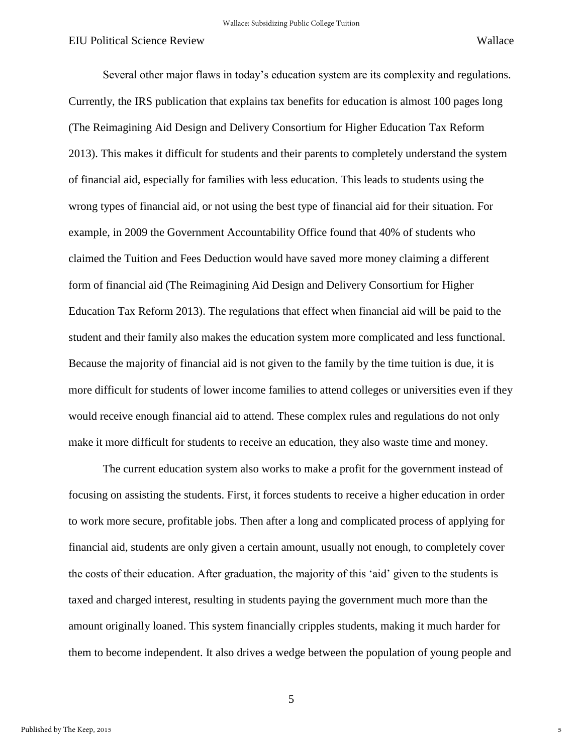Several other major flaws in today's education system are its complexity and regulations. Currently, the IRS publication that explains tax benefits for education is almost 100 pages long (The Reimagining Aid Design and Delivery Consortium for Higher Education Tax Reform 2013). This makes it difficult for students and their parents to completely understand the system of financial aid, especially for families with less education. This leads to students using the wrong types of financial aid, or not using the best type of financial aid for their situation. For example, in 2009 the Government Accountability Office found that 40% of students who claimed the Tuition and Fees Deduction would have saved more money claiming a different form of financial aid (The Reimagining Aid Design and Delivery Consortium for Higher Education Tax Reform 2013). The regulations that effect when financial aid will be paid to the student and their family also makes the education system more complicated and less functional. Because the majority of financial aid is not given to the family by the time tuition is due, it is more difficult for students of lower income families to attend colleges or universities even if they would receive enough financial aid to attend. These complex rules and regulations do not only make it more difficult for students to receive an education, they also waste time and money.

The current education system also works to make a profit for the government instead of focusing on assisting the students. First, it forces students to receive a higher education in order to work more secure, profitable jobs. Then after a long and complicated process of applying for financial aid, students are only given a certain amount, usually not enough, to completely cover the costs of their education. After graduation, the majority of this 'aid' given to the students is taxed and charged interest, resulting in students paying the government much more than the amount originally loaned. This system financially cripples students, making it much harder for them to become independent. It also drives a wedge between the population of young people and

5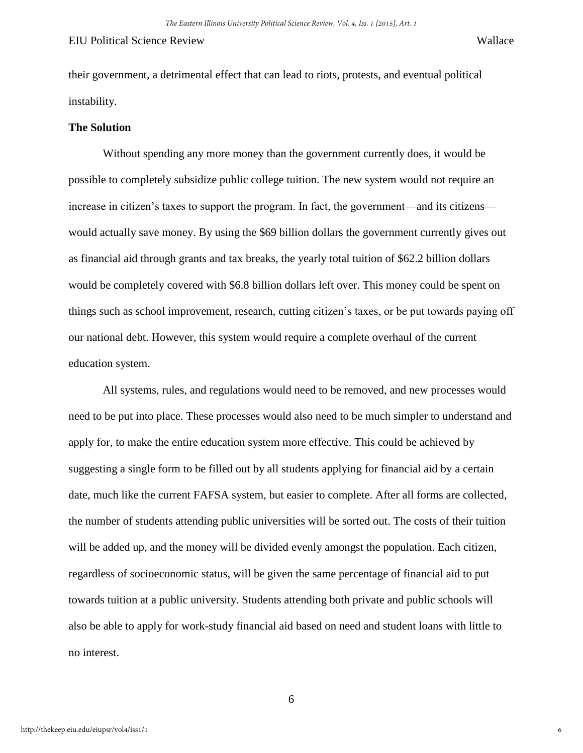their government, a detrimental effect that can lead to riots, protests, and eventual political instability.

#### **The Solution**

Without spending any more money than the government currently does, it would be possible to completely subsidize public college tuition. The new system would not require an increase in citizen's taxes to support the program. In fact, the government—and its citizens would actually save money. By using the \$69 billion dollars the government currently gives out as financial aid through grants and tax breaks, the yearly total tuition of \$62.2 billion dollars would be completely covered with \$6.8 billion dollars left over. This money could be spent on things such as school improvement, research, cutting citizen's taxes, or be put towards paying off our national debt. However, this system would require a complete overhaul of the current education system.

All systems, rules, and regulations would need to be removed, and new processes would need to be put into place. These processes would also need to be much simpler to understand and apply for, to make the entire education system more effective. This could be achieved by suggesting a single form to be filled out by all students applying for financial aid by a certain date, much like the current FAFSA system, but easier to complete. After all forms are collected, the number of students attending public universities will be sorted out. The costs of their tuition will be added up, and the money will be divided evenly amongst the population. Each citizen, regardless of socioeconomic status, will be given the same percentage of financial aid to put towards tuition at a public university. Students attending both private and public schools will also be able to apply for work-study financial aid based on need and student loans with little to no interest.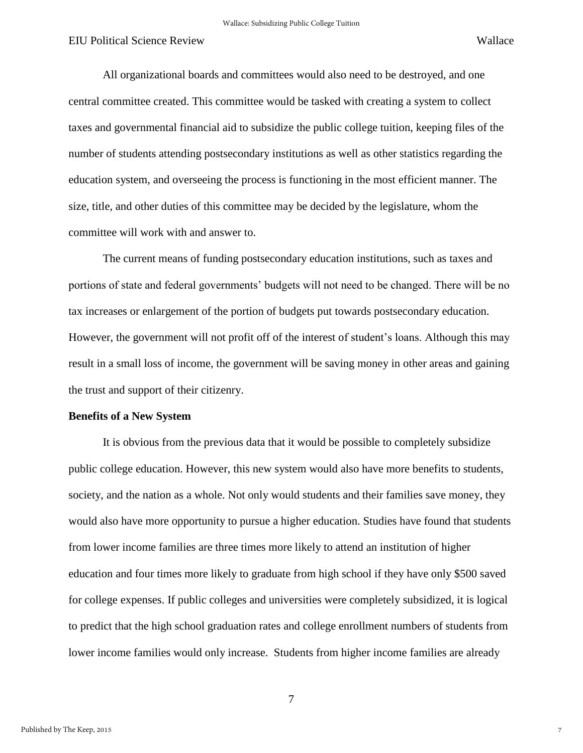7

All organizational boards and committees would also need to be destroyed, and one central committee created. This committee would be tasked with creating a system to collect taxes and governmental financial aid to subsidize the public college tuition, keeping files of the number of students attending postsecondary institutions as well as other statistics regarding the education system, and overseeing the process is functioning in the most efficient manner. The size, title, and other duties of this committee may be decided by the legislature, whom the committee will work with and answer to.

The current means of funding postsecondary education institutions, such as taxes and portions of state and federal governments' budgets will not need to be changed. There will be no tax increases or enlargement of the portion of budgets put towards postsecondary education. However, the government will not profit off of the interest of student's loans. Although this may result in a small loss of income, the government will be saving money in other areas and gaining the trust and support of their citizenry.

#### **Benefits of a New System**

It is obvious from the previous data that it would be possible to completely subsidize public college education. However, this new system would also have more benefits to students, society, and the nation as a whole. Not only would students and their families save money, they would also have more opportunity to pursue a higher education. Studies have found that students from lower income families are three times more likely to attend an institution of higher education and four times more likely to graduate from high school if they have only \$500 saved for college expenses. If public colleges and universities were completely subsidized, it is logical to predict that the high school graduation rates and college enrollment numbers of students from lower income families would only increase. Students from higher income families are already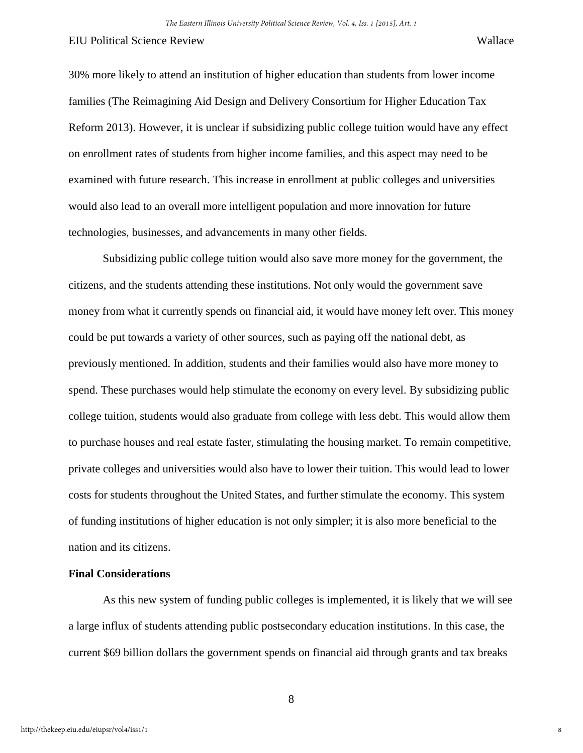30% more likely to attend an institution of higher education than students from lower income families (The Reimagining Aid Design and Delivery Consortium for Higher Education Tax Reform 2013). However, it is unclear if subsidizing public college tuition would have any effect on enrollment rates of students from higher income families, and this aspect may need to be examined with future research. This increase in enrollment at public colleges and universities would also lead to an overall more intelligent population and more innovation for future technologies, businesses, and advancements in many other fields.

Subsidizing public college tuition would also save more money for the government, the citizens, and the students attending these institutions. Not only would the government save money from what it currently spends on financial aid, it would have money left over. This money could be put towards a variety of other sources, such as paying off the national debt, as previously mentioned. In addition, students and their families would also have more money to spend. These purchases would help stimulate the economy on every level. By subsidizing public college tuition, students would also graduate from college with less debt. This would allow them to purchase houses and real estate faster, stimulating the housing market. To remain competitive, private colleges and universities would also have to lower their tuition. This would lead to lower costs for students throughout the United States, and further stimulate the economy. This system of funding institutions of higher education is not only simpler; it is also more beneficial to the nation and its citizens.

#### **Final Considerations**

As this new system of funding public colleges is implemented, it is likely that we will see a large influx of students attending public postsecondary education institutions. In this case, the current \$69 billion dollars the government spends on financial aid through grants and tax breaks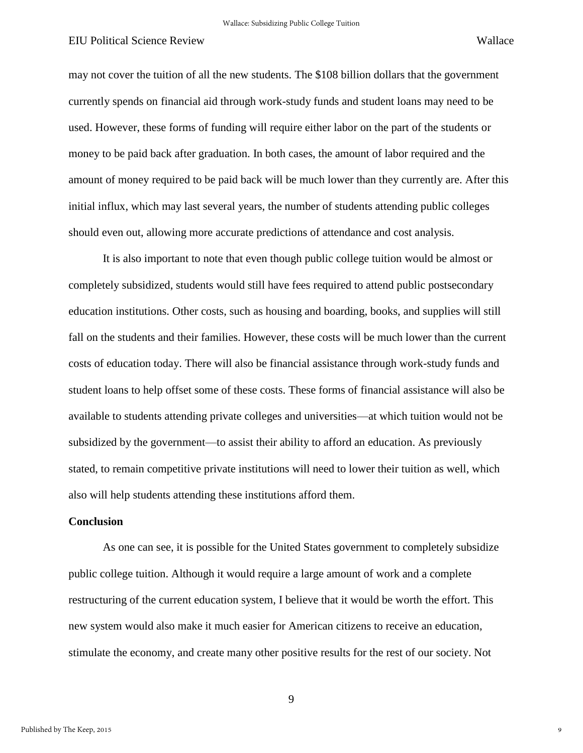may not cover the tuition of all the new students. The \$108 billion dollars that the government currently spends on financial aid through work-study funds and student loans may need to be used. However, these forms of funding will require either labor on the part of the students or money to be paid back after graduation. In both cases, the amount of labor required and the amount of money required to be paid back will be much lower than they currently are. After this initial influx, which may last several years, the number of students attending public colleges should even out, allowing more accurate predictions of attendance and cost analysis.

It is also important to note that even though public college tuition would be almost or completely subsidized, students would still have fees required to attend public postsecondary education institutions. Other costs, such as housing and boarding, books, and supplies will still fall on the students and their families. However, these costs will be much lower than the current costs of education today. There will also be financial assistance through work-study funds and student loans to help offset some of these costs. These forms of financial assistance will also be available to students attending private colleges and universities—at which tuition would not be subsidized by the government—to assist their ability to afford an education. As previously stated, to remain competitive private institutions will need to lower their tuition as well, which also will help students attending these institutions afford them.

#### **Conclusion**

 As one can see, it is possible for the United States government to completely subsidize public college tuition. Although it would require a large amount of work and a complete restructuring of the current education system, I believe that it would be worth the effort. This new system would also make it much easier for American citizens to receive an education, stimulate the economy, and create many other positive results for the rest of our society. Not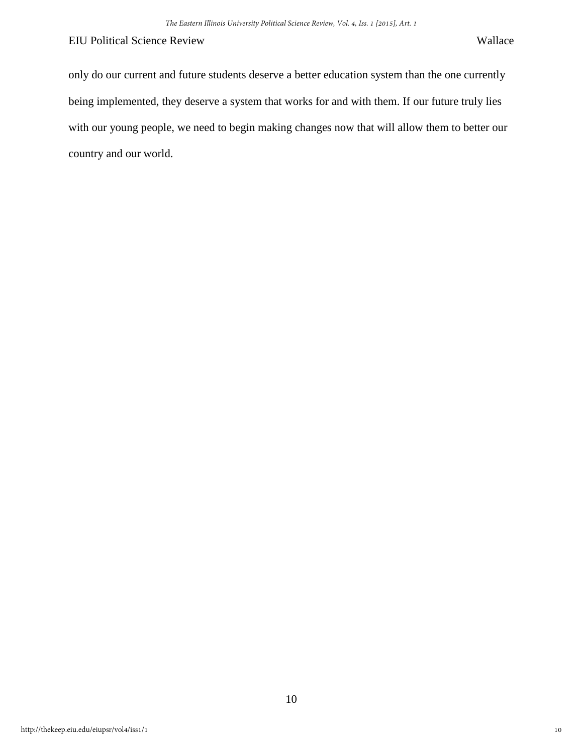only do our current and future students deserve a better education system than the one currently being implemented, they deserve a system that works for and with them. If our future truly lies with our young people, we need to begin making changes now that will allow them to better our country and our world.